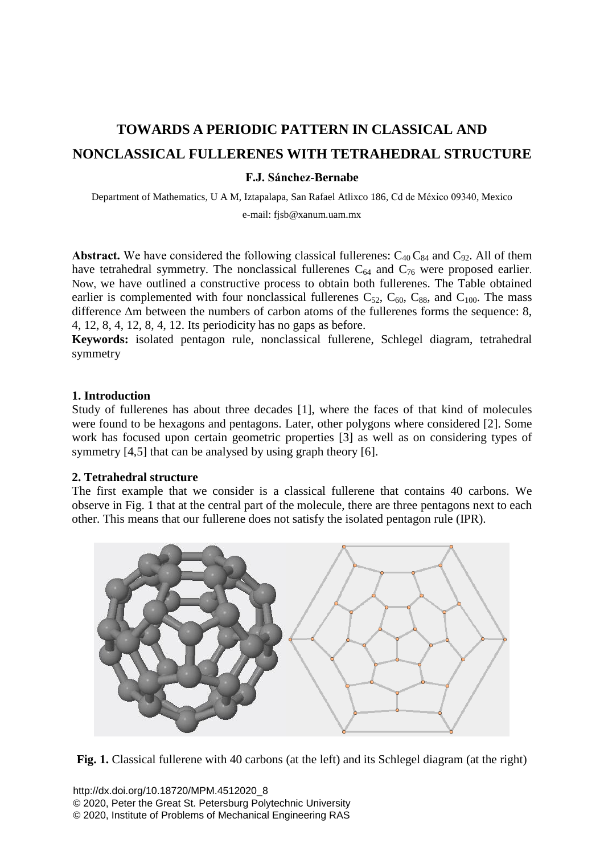# **TOWARDS A PERIODIC PATTERN IN CLASSICAL AND NONCLASSICAL FULLERENES WITH TETRAHEDRAL STRUCTURE**

## **F.J. Sánchez-Bernabe**

Department of Mathematics, U A M, Iztapalapa, San Rafael Atlixco 186, Cd de México 09340, Mexico e-mail: [fjsb@xanum.uam.mx](mailto:yossarian@epfl.ch)

**Abstract.** We have considered the following classical fullerenes:  $C_{40}C_{84}$  and  $C_{92}$ . All of them have tetrahedral symmetry. The nonclassical fullerenes  $C_{64}$  and  $C_{76}$  were proposed earlier. Now, we have outlined a constructive process to obtain both fullerenes. The Table obtained earlier is complemented with four nonclassical fullerenes  $C_{52}$ ,  $C_{60}$ ,  $C_{88}$ , and  $C_{100}$ . The mass difference Δm between the numbers of carbon atoms of the fullerenes forms the sequence: 8, 4, 12, 8, 4, 12, 8, 4, 12. Its periodicity has no gaps as before.

**Keywords:** isolated pentagon rule, nonclassical fullerene, Schlegel diagram, tetrahedral symmetry

## **1. Introduction**

Study of fullerenes has about three decades [1], where the faces of that kind of molecules were found to be hexagons and pentagons. Later, other polygons where considered [2]. Some work has focused upon certain geometric properties [3] as well as on considering types of symmetry [4,5] that can be analysed by using graph theory [6].

#### **2. Tetrahedral structure**

The first example that we consider is a classical fullerene that contains 40 carbons. We observe in Fig. 1 that at the central part of the molecule, there are three pentagons next to each other. This means that our fullerene does not satisfy the isolated pentagon rule (IPR).



**Fig. 1.** Classical fullerene with 40 carbons (at the left) and its Schlegel diagram (at the right)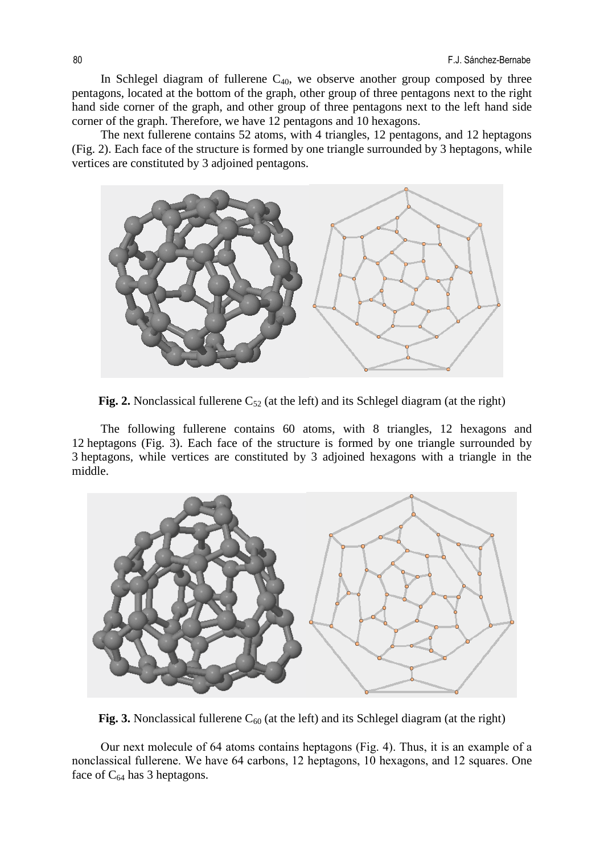In Schlegel diagram of fullerene  $C_{40}$ , we observe another group composed by three pentagons, located at the bottom of the graph, other group of three pentagons next to the right hand side corner of the graph, and other group of three pentagons next to the left hand side corner of the graph. Therefore, we have 12 pentagons and 10 hexagons.

 The next fullerene contains 52 atoms, with 4 triangles, 12 pentagons, and 12 heptagons (Fig. 2). Each face of the structure is formed by one triangle surrounded by 3 heptagons, while vertices are constituted by 3 adjoined pentagons.



**Fig. 2.** Nonclassical fullerene  $C_{52}$  (at the left) and its Schlegel diagram (at the right)

The following fullerene contains 60 atoms, with 8 triangles, 12 hexagons and 12 heptagons (Fig. 3). Each face of the structure is formed by one triangle surrounded by 3 heptagons, while vertices are constituted by 3 adjoined hexagons with a triangle in the middle.



**Fig.** 3. Nonclassical fullerene  $C_{60}$  (at the left) and its Schlegel diagram (at the right)

Our next molecule of 64 atoms contains heptagons (Fig. 4). Thus, it is an example of a nonclassical fullerene. We have 64 carbons, 12 heptagons, 10 hexagons, and 12 squares. One face of  $C_{64}$  has 3 heptagons.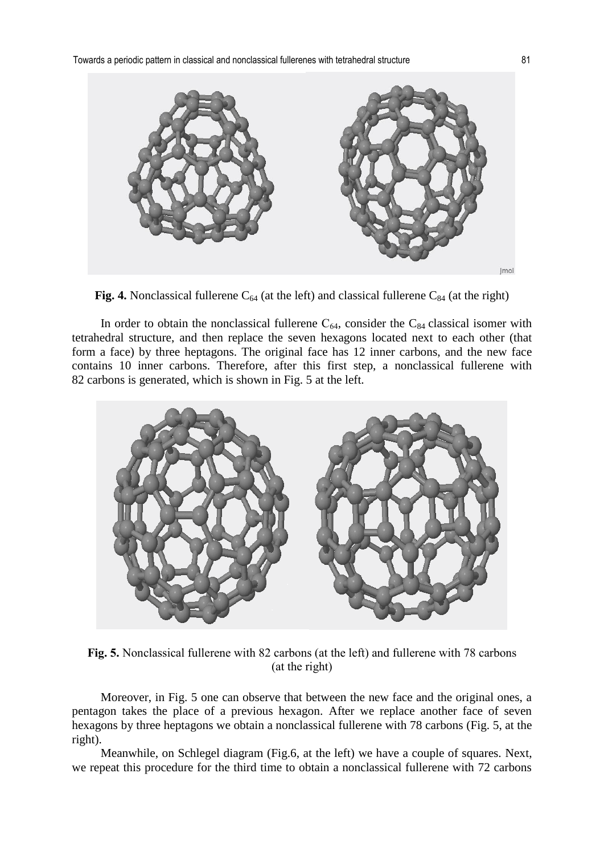

**Fig. 4.** Nonclassical fullerene  $C_{64}$  (at the left) and classical fullerene  $C_{84}$  (at the right)

In order to obtain the nonclassical fullerene  $C_{64}$ , consider the  $C_{84}$  classical isomer with tetrahedral structure, and then replace the seven hexagons located next to each other (that form a face) by three heptagons. The original face has 12 inner carbons, and the new face contains 10 inner carbons. Therefore, after this first step, a nonclassical fullerene with 82 carbons is generated, which is shown in Fig. 5 at the left.



**Fig. 5.** Nonclassical fullerene with 82 carbons (at the left) and fullerene with 78 carbons (at the right)

Moreover, in Fig. 5 one can observe that between the new face and the original ones, a pentagon takes the place of a previous hexagon. After we replace another face of seven hexagons by three heptagons we obtain a nonclassical fullerene with 78 carbons (Fig. 5, at the right).

Meanwhile, on Schlegel diagram (Fig.6, at the left) we have a couple of squares. Next, we repeat this procedure for the third time to obtain a nonclassical fullerene with 72 carbons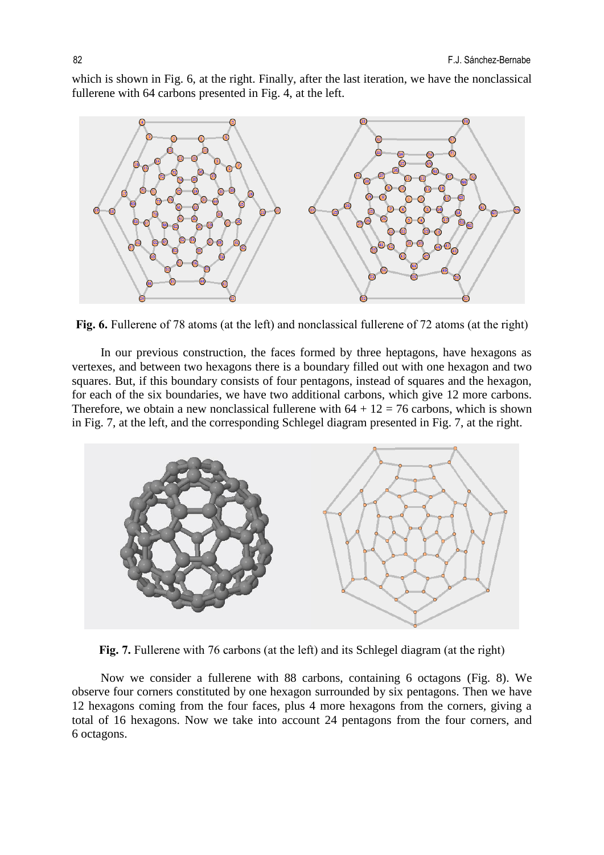which is shown in Fig. 6, at the right. Finally, after the last iteration, we have the nonclassical fullerene with 64 carbons presented in Fig. 4, at the left.



**Fig. 6.** Fullerene of 78 atoms (at the left) and nonclassical fullerene of 72 atoms (at the right)

 In our previous construction, the faces formed by three heptagons, have hexagons as vertexes, and between two hexagons there is a boundary filled out with one hexagon and two squares. But, if this boundary consists of four pentagons, instead of squares and the hexagon, for each of the six boundaries, we have two additional carbons, which give 12 more carbons. Therefore, we obtain a new nonclassical fullerene with  $64 + 12 = 76$  carbons, which is shown in Fig. 7, at the left, and the corresponding Schlegel diagram presented in Fig. 7, at the right.



**Fig. 7.** Fullerene with 76 carbons (at the left) and its Schlegel diagram (at the right)

 Now we consider a fullerene with 88 carbons, containing 6 octagons (Fig. 8). We observe four corners constituted by one hexagon surrounded by six pentagons. Then we have 12 hexagons coming from the four faces, plus 4 more hexagons from the corners, giving a total of 16 hexagons. Now we take into account 24 pentagons from the four corners, and 6 octagons.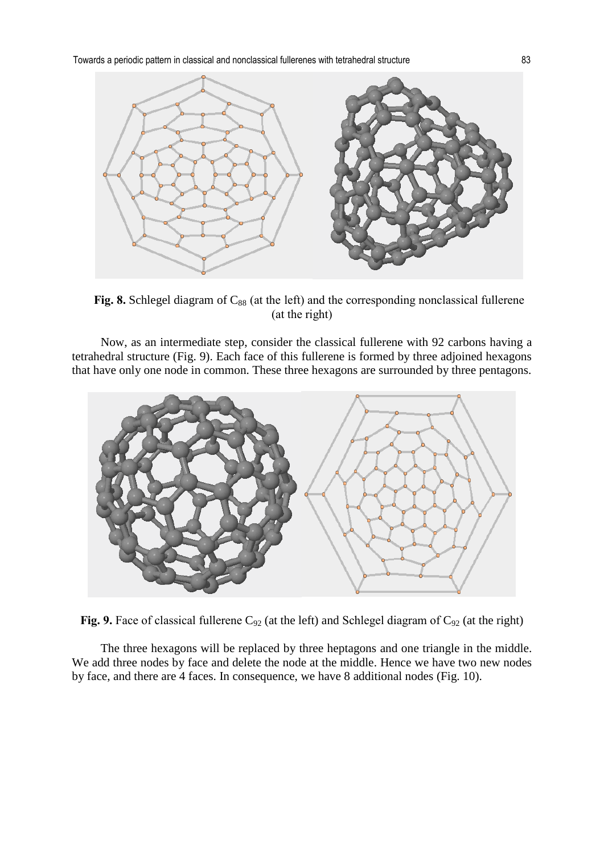

Fig. 8. Schlegel diagram of C<sub>88</sub> (at the left) and the corresponding nonclassical fullerene (at the right)

Now, as an intermediate step, consider the classical fullerene with 92 carbons having a tetrahedral structure (Fig. 9). Each face of this fullerene is formed by three adjoined hexagons that have only one node in common. These three hexagons are surrounded by three pentagons.



**Fig. 9.** Face of classical fullerene  $C_{92}$  (at the left) and Schlegel diagram of  $C_{92}$  (at the right)

The three hexagons will be replaced by three heptagons and one triangle in the middle. We add three nodes by face and delete the node at the middle. Hence we have two new nodes by face, and there are 4 faces. In consequence, we have 8 additional nodes (Fig. 10).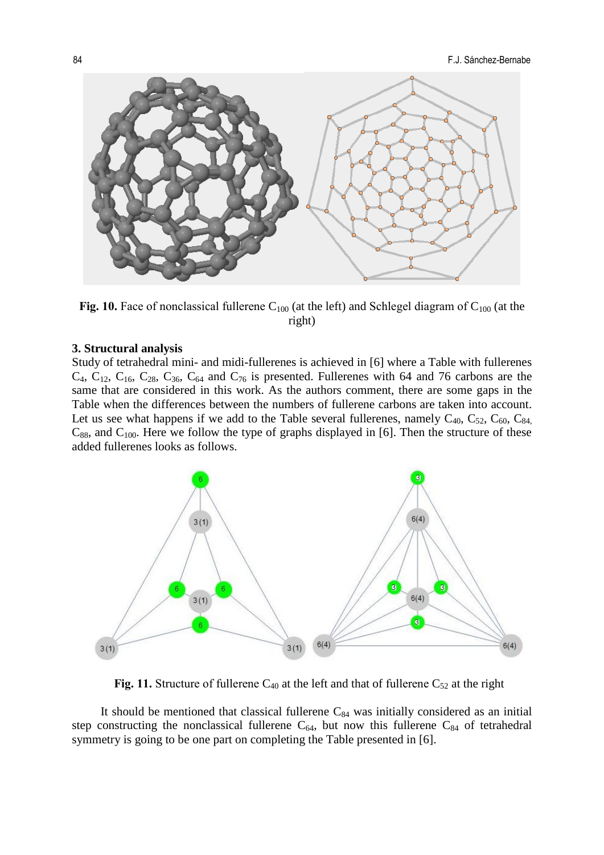

**Fig. 10.** Face of nonclassical fullerene  $C_{100}$  (at the left) and Schlegel diagram of  $C_{100}$  (at the right)

#### **3. Structural analysis**

Study of tetrahedral mini- and midi-fullerenes is achieved in [6] where a Table with fullerenes  $C_4$ ,  $C_{12}$ ,  $C_{16}$ ,  $C_{28}$ ,  $C_{36}$ ,  $C_{64}$  and  $C_{76}$  is presented. Fullerenes with 64 and 76 carbons are the same that are considered in this work. As the authors comment, there are some gaps in the Table when the differences between the numbers of fullerene carbons are taken into account. Let us see what happens if we add to the Table several fullerenes, namely  $C_{40}$ ,  $C_{52}$ ,  $C_{60}$ ,  $C_{84}$  $C_{88}$ , and  $C_{100}$ . Here we follow the type of graphs displayed in [6]. Then the structure of these added fullerenes looks as follows.



**Fig. 11.** Structure of fullerene  $C_{40}$  at the left and that of fullerene  $C_{52}$  at the right

It should be mentioned that classical fullerene  $C_{84}$  was initially considered as an initial step constructing the nonclassical fullerene  $C_{64}$ , but now this fullerene  $C_{84}$  of tetrahedral symmetry is going to be one part on completing the Table presented in [6].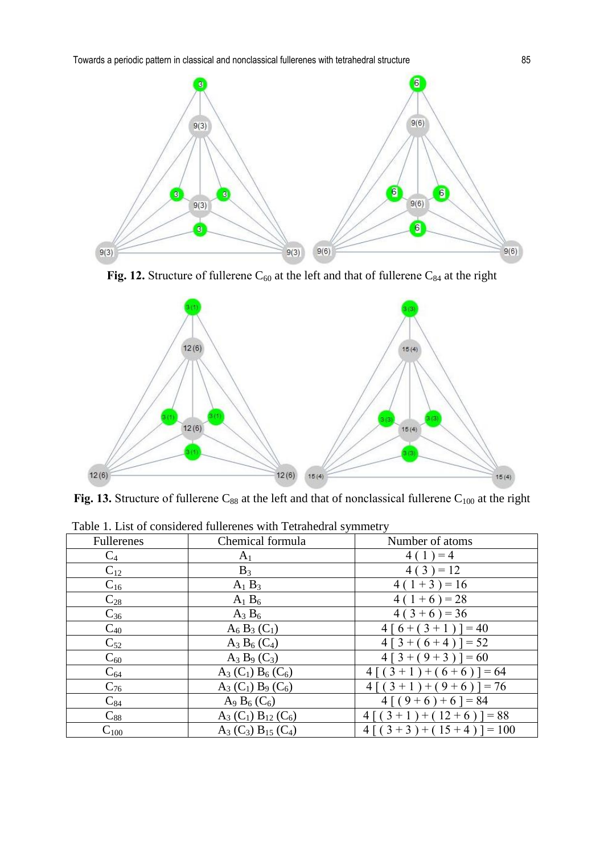Towards a periodic pattern in classical and nonclassical fullerenes with tetrahedral structure 85



Fig. 12. Structure of fullerene  $C_{60}$  at the left and that of fullerene  $C_{84}$  at the right



Fig. 13. Structure of fullerene  $C_{88}$  at the left and that of nonclassical fullerene  $C_{100}$  at the right

| Table 1. List of considered functenes with Tetranedial symmetry |                                                 |                         |
|-----------------------------------------------------------------|-------------------------------------------------|-------------------------|
| Fullerenes                                                      | Chemical formula                                | Number of atoms         |
| $C_4$                                                           | A <sub>1</sub>                                  | $4(1) = 4$              |
| $C_{12}$                                                        | $B_3$                                           | $4(3) = 12$             |
| $C_{16}$                                                        | $A_1 B_3$                                       | $4(1+3) = 16$           |
| $C_{28}$                                                        | $A_1 B_6$                                       | $4(1+6) = 28$           |
| $C_{36}$                                                        | $A_3 B_6$                                       | $4(3+6) = 36$           |
| $C_{40}$                                                        | $A_6 B_3 (C_1)$                                 | $4[6+(3+1)] = 40$       |
| $C_{52}$                                                        | $A_3 B_6 (C_4)$                                 | $4 [3 + (6 + 4)] = 52$  |
| $C_{60}$                                                        | $A_3 B_9 (C_3)$                                 | $4 [3 + (9 + 3)] = 60$  |
| $C_{64}$                                                        | $A_3(C_1) B_6(C_6)$                             | $4[(3+1)+(6+6)] = 64$   |
| $C_{76}$                                                        | $A_3(C_1) B_9(C_6)$                             | $4[(3+1)+(9+6)] = 76$   |
| $C_{84}$                                                        | A <sub>9</sub> B <sub>6</sub> (C <sub>6</sub> ) | $4[(9+6)+6] = 84$       |
| $C_{88}$                                                        | $A_3(C_1) B_{12}(C_6)$                          | $4[(3+1)+(12+6)] = 88$  |
| $C_{100}$                                                       | $A_3(C_3) B_{15}(C_4)$                          | $4[(3+3)+(15+4)] = 100$ |

Table 1. List of considered fullerenes with Tetrahedral symmetry